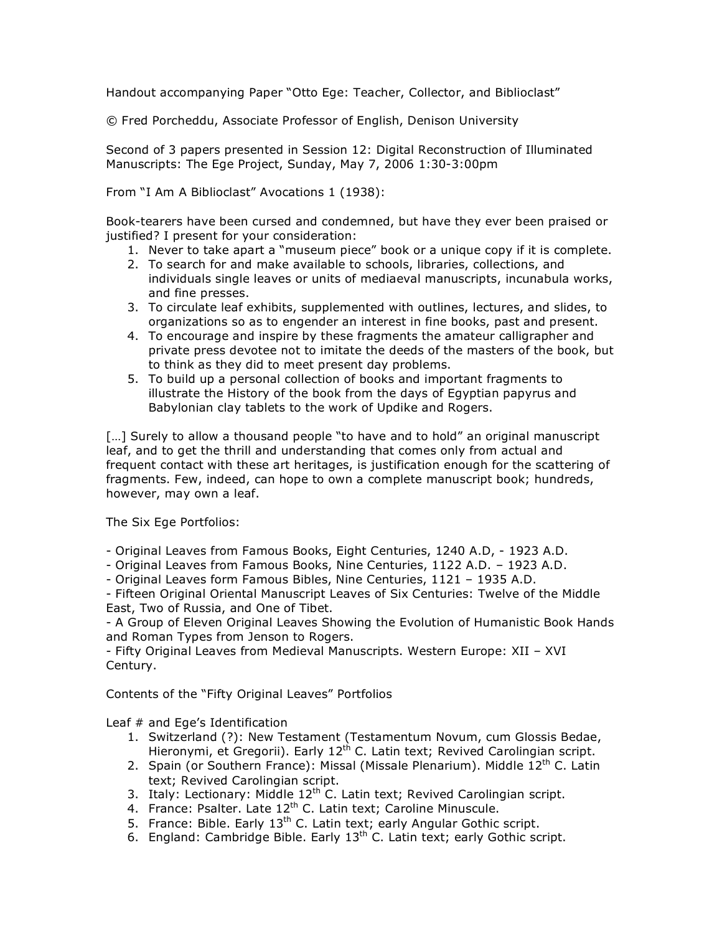Handout accompanying Paper "Otto Ege: Teacher, Collector, and Biblioclast"

© Fred Porcheddu, Associate Professor of English, Denison University

Second of 3 papers presented in Session 12: Digital Reconstruction of Illuminated Manuscripts: The Ege Project, Sunday, May 7, 2006 1:30-3:00pm

From "I Am A Biblioclast" Avocations 1 (1938):

Book-tearers have been cursed and condemned, but have they ever been praised or justified? I present for your consideration:

- 1. Never to take apart a "museum piece" book or a unique copy if it is complete.
- 2. To search for and make available to schools, libraries, collections, and individuals single leaves or units of mediaeval manuscripts, incunabula works, and fine presses.
- 3. To circulate leaf exhibits, supplemented with outlines, lectures, and slides, to organizations so as to engender an interest in fine books, past and present.
- 4. To encourage and inspire by these fragments the amateur calligrapher and private press devotee not to imitate the deeds of the masters of the book, but to think as they did to meet present day problems.
- 5. To build up a personal collection of books and important fragments to illustrate the History of the book from the days of Egyptian papyrus and Babylonian clay tablets to the work of Updike and Rogers.

[...] Surely to allow a thousand people "to have and to hold" an original manuscript leaf, and to get the thrill and understanding that comes only from actual and frequent contact with these art heritages, is justification enough for the scattering of fragments. Few, indeed, can hope to own a complete manuscript book; hundreds, however, may own a leaf.

The Six Ege Portfolios:

- Original Leaves from Famous Books, Eight Centuries, 1240 A.D, 1923 A.D.
- Original Leaves from Famous Books, Nine Centuries, 1122 A.D. 1923 A.D.
- Original Leaves form Famous Bibles, Nine Centuries, 1121 1935 A.D.

- Fifteen Original Oriental Manuscript Leaves of Six Centuries: Twelve of the Middle East, Two of Russia, and One of Tibet.

- A Group of Eleven Original Leaves Showing the Evolution of Humanistic Book Hands and Roman Types from Jenson to Rogers.

- Fifty Original Leaves from Medieval Manuscripts. Western Europe: XII – XVI Century.

Contents of the "Fifty Original Leaves" Portfolios

Leaf # and Ege's Identification

- 1. Switzerland (?): New Testament (Testamentum Novum, cum Glossis Bedae, Hieronymi, et Gregorii). Early 12<sup>th</sup> C. Latin text; Revived Carolingian script.
- 2. Spain (or Southern France): Missal (Missale Plenarium). Middle 12<sup>th</sup> C. Latin text; Revived Carolingian script.
- 3. Italy: Lectionary: Middle  $12<sup>th</sup>$  C. Latin text; Revived Carolingian script.
- 4. France: Psalter. Late 12<sup>th</sup> C. Latin text; Caroline Minuscule.
- 5. France: Bible. Early  $13<sup>th</sup>$  C. Latin text; early Angular Gothic script.
- 6. England: Cambridge Bible. Early  $13<sup>th</sup>$  C. Latin text; early Gothic script.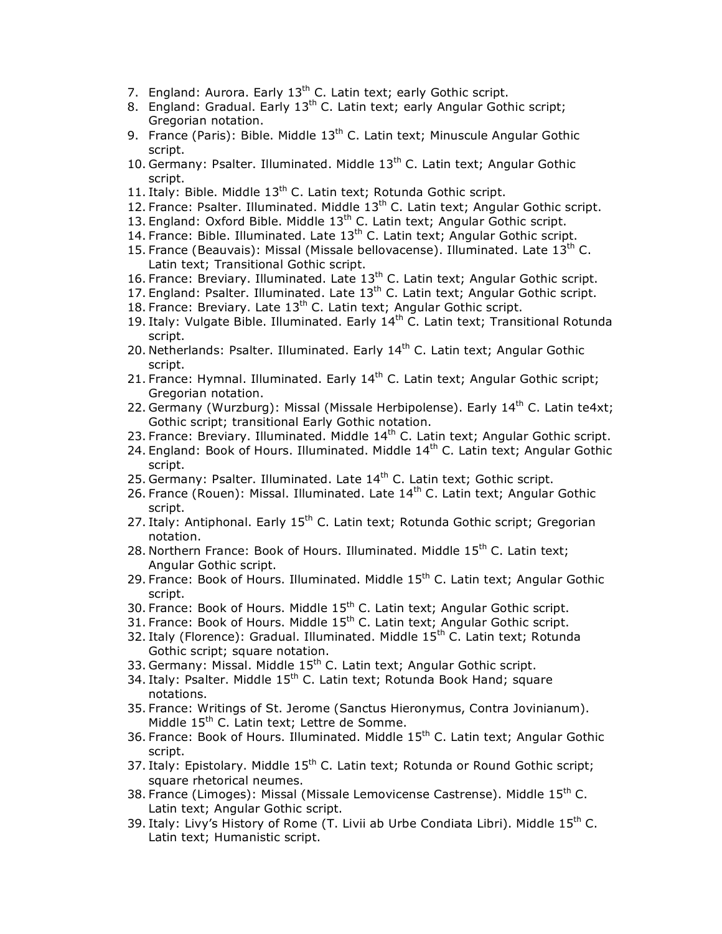- 7. England: Aurora. Early  $13<sup>th</sup>$  C. Latin text; early Gothic script.
- 8. England: Gradual. Early 13<sup>th</sup> C. Latin text; early Angular Gothic script: Gregorian notation.
- 9. France (Paris): Bible. Middle  $13<sup>th</sup>$  C. Latin text; Minuscule Angular Gothic script.
- 10. Germany: Psalter. Illuminated. Middle  $13<sup>th</sup>$  C. Latin text; Angular Gothic script.
- 11. Italy: Bible. Middle  $13<sup>th</sup>$  C. Latin text; Rotunda Gothic script.
- 12. France: Psalter. Illuminated. Middle 13<sup>th</sup> C. Latin text; Angular Gothic script.
- 13. England: Oxford Bible. Middle 13<sup>th</sup> C. Latin text; Angular Gothic script.
- 14. France: Bible. Illuminated. Late  $13<sup>th</sup>$  C. Latin text; Angular Gothic script.
- 15. France (Beauvais): Missal (Missale bellovacense). Illuminated. Late 13<sup>th</sup> C. Latin text; Transitional Gothic script.
- 16. France: Breviary. Illuminated. Late 13<sup>th</sup> C. Latin text; Angular Gothic script.
- 17. England: Psalter. Illuminated. Late 13<sup>th</sup> C. Latin text; Angular Gothic script.
- 18. France: Breviary. Late 13<sup>th</sup> C. Latin text; Angular Gothic script.
- 19. Italy: Vulgate Bible. Illuminated. Early 14<sup>th</sup> C. Latin text; Transitional Rotunda script.
- 20. Netherlands: Psalter. Illuminated. Early  $14<sup>th</sup>$  C. Latin text; Angular Gothic script.
- 21. France: Hymnal. Illuminated. Early 14<sup>th</sup> C. Latin text; Angular Gothic script; Gregorian notation.
- 22. Germany (Wurzburg): Missal (Missale Herbipolense). Early 14<sup>th</sup> C. Latin te4xt; Gothic script; transitional Early Gothic notation.
- 23. France: Breviary. Illuminated. Middle 14<sup>th</sup> C. Latin text; Angular Gothic script.
- 24. England: Book of Hours. Illuminated. Middle  $14<sup>th</sup>$  C. Latin text; Angular Gothic script.
- 25. Germany: Psalter. Illuminated. Late  $14<sup>th</sup>$  C. Latin text; Gothic script.
- 26. France (Rouen): Missal. Illuminated. Late  $14<sup>th</sup>$  C. Latin text; Angular Gothic script.
- 27. Italy: Antiphonal. Early  $15<sup>th</sup>$  C. Latin text; Rotunda Gothic script; Gregorian notation.
- 28. Northern France: Book of Hours. Illuminated. Middle  $15<sup>th</sup>$  C. Latin text; Angular Gothic script.
- 29. France: Book of Hours. Illuminated. Middle 15<sup>th</sup> C. Latin text; Angular Gothic script.
- 30. France: Book of Hours. Middle  $15<sup>th</sup>$  C. Latin text; Angular Gothic script.
- 31. France: Book of Hours. Middle 15<sup>th</sup> C. Latin text; Angular Gothic script.
- 32. Italy (Florence): Gradual. Illuminated. Middle 15<sup>th</sup> C. Latin text; Rotunda Gothic script; square notation.
- 33. Germany: Missal. Middle 15<sup>th</sup> C. Latin text; Angular Gothic script.
- 34. Italy: Psalter. Middle  $15^{th}$  C. Latin text; Rotunda Book Hand; square notations.
- 35. France: Writings of St. Jerome (Sanctus Hieronymus, Contra Jovinianum). Middle 15<sup>th</sup> C. Latin text; Lettre de Somme.
- 36. France: Book of Hours. Illuminated. Middle 15<sup>th</sup> C. Latin text; Angular Gothic script.
- 37. Italy: Epistolary. Middle 15<sup>th</sup> C. Latin text; Rotunda or Round Gothic script; square rhetorical neumes.
- 38. France (Limoges): Missal (Missale Lemovicense Castrense). Middle 15<sup>th</sup> C. Latin text; Angular Gothic script.
- 39. Italy: Livy's History of Rome (T. Livii ab Urbe Condiata Libri). Middle  $15<sup>th</sup>$  C. Latin text; Humanistic script.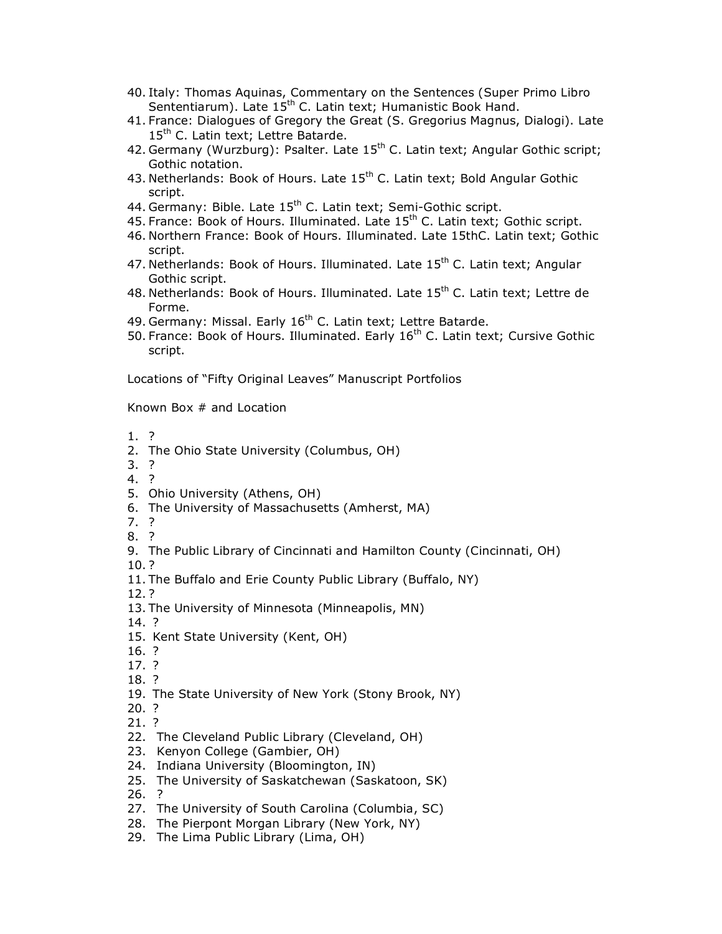- 40. Italy: Thomas Aquinas, Commentary on the Sentences (Super Primo Libro Sententiarum). Late 15<sup>th</sup> C. Latin text; Humanistic Book Hand.
- 41. France: Dialogues of Gregory the Great (S. Gregorius Magnus, Dialogi). Late 15<sup>th</sup> C. Latin text; Lettre Batarde.
- 42. Germany (Wurzburg): Psalter. Late  $15<sup>th</sup>$  C. Latin text; Angular Gothic script; Gothic notation.
- 43. Netherlands: Book of Hours. Late 15<sup>th</sup> C. Latin text; Bold Angular Gothic script.
- 44. Germany: Bible. Late 15<sup>th</sup> C. Latin text; Semi-Gothic script.
- 45. France: Book of Hours. Illuminated. Late  $15<sup>th</sup>$  C. Latin text; Gothic script.
- 46. Northern France: Book of Hours. Illuminated. Late 15thC. Latin text; Gothic script.
- 47. Netherlands: Book of Hours. Illuminated. Late 15<sup>th</sup> C. Latin text; Angular Gothic script.
- 48. Netherlands: Book of Hours. Illuminated. Late  $15<sup>th</sup>$  C. Latin text; Lettre de Forme.
- 49. Germany: Missal. Early 16<sup>th</sup> C. Latin text; Lettre Batarde.
- 50. France: Book of Hours. Illuminated. Early  $16<sup>th</sup>$  C. Latin text; Cursive Gothic script.

Locations of "Fifty Original Leaves" Manuscript Portfolios

Known Box # and Location

- 1. ?
- 2. The Ohio State University (Columbus, OH)
- 3. ?
- 4. ?
- 5. Ohio University (Athens, OH)
- 6. The University of Massachusetts (Amherst, MA)
- 7. ?
- 8. ?
- 9. The Public Library of Cincinnati and Hamilton County (Cincinnati, OH)
- 10. ?
- 11. The Buffalo and Erie County Public Library (Buffalo, NY)
- 12. ?
- 13. The University of Minnesota (Minneapolis, MN)
- 14. ?
- 15. Kent State University (Kent, OH)
- 16. ?
- 17. ?
- 18. ?
- 19. The State University of New York (Stony Brook, NY)
- 20. ?
- 21. ?
- 22. The Cleveland Public Library (Cleveland, OH)
- 23. Kenyon College (Gambier, OH)
- 24. Indiana University (Bloomington, IN)
- 25. The University of Saskatchewan (Saskatoon, SK)
- 26. ?
- 27. The University of South Carolina (Columbia, SC)
- 28. The Pierpont Morgan Library (New York, NY)
- 29. The Lima Public Library (Lima, OH)